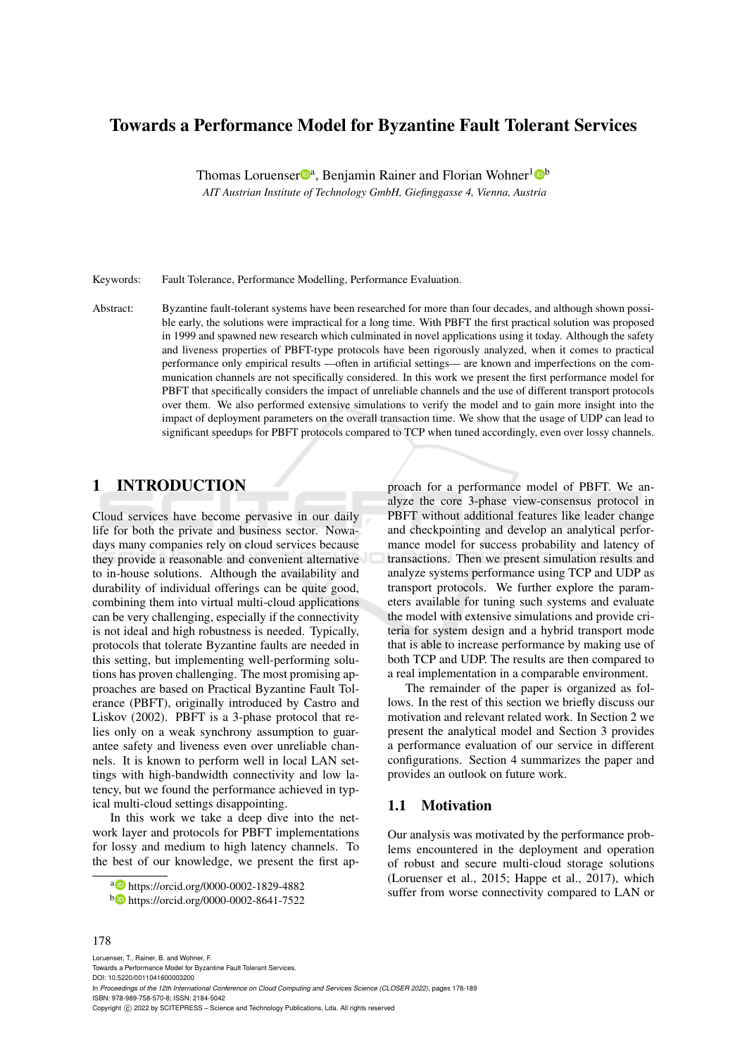# Towards a Performance Model for Byzantine Fault Tolerant Services

Thomas Loruenser<sup>®</sup>, Benjamin Rainer and Florian Wohner<sup>1</sup><sup>®</sup>

*AIT Austrian Institute of Technology GmbH, Giefinggasse 4, Vienna, Austria*

Keywords: Fault Tolerance, Performance Modelling, Performance Evaluation.

Abstract: Byzantine fault-tolerant systems have been researched for more than four decades, and although shown possible early, the solutions were impractical for a long time. With PBFT the first practical solution was proposed in 1999 and spawned new research which culminated in novel applications using it today. Although the safety and liveness properties of PBFT-type protocols have been rigorously analyzed, when it comes to practical performance only empirical results —often in artificial settings— are known and imperfections on the communication channels are not specifically considered. In this work we present the first performance model for PBFT that specifically considers the impact of unreliable channels and the use of different transport protocols over them. We also performed extensive simulations to verify the model and to gain more insight into the impact of deployment parameters on the overall transaction time. We show that the usage of UDP can lead to significant speedups for PBFT protocols compared to TCP when tuned accordingly, even over lossy channels.

### 1 INTRODUCTION

Cloud services have become pervasive in our daily life for both the private and business sector. Nowadays many companies rely on cloud services because they provide a reasonable and convenient alternative to in-house solutions. Although the availability and durability of individual offerings can be quite good, combining them into virtual multi-cloud applications can be very challenging, especially if the connectivity is not ideal and high robustness is needed. Typically, protocols that tolerate Byzantine faults are needed in this setting, but implementing well-performing solutions has proven challenging. The most promising approaches are based on Practical Byzantine Fault Tolerance (PBFT), originally introduced by Castro and Liskov (2002). PBFT is a 3-phase protocol that relies only on a weak synchrony assumption to guarantee safety and liveness even over unreliable channels. It is known to perform well in local LAN settings with high-bandwidth connectivity and low latency, but we found the performance achieved in typical multi-cloud settings disappointing.

In this work we take a deep dive into the network layer and protocols for PBFT implementations for lossy and medium to high latency channels. To the best of our knowledge, we present the first approach for a performance model of PBFT. We analyze the core 3-phase view-consensus protocol in PBFT without additional features like leader change and checkpointing and develop an analytical performance model for success probability and latency of transactions. Then we present simulation results and analyze systems performance using TCP and UDP as transport protocols. We further explore the parameters available for tuning such systems and evaluate the model with extensive simulations and provide criteria for system design and a hybrid transport mode that is able to increase performance by making use of both TCP and UDP. The results are then compared to a real implementation in a comparable environment.

The remainder of the paper is organized as follows. In the rest of this section we briefly discuss our motivation and relevant related work. In Section 2 we present the analytical model and Section 3 provides a performance evaluation of our service in different configurations. Section 4 summarizes the paper and provides an outlook on future work.

#### 1.1 Motivation

Our analysis was motivated by the performance problems encountered in the deployment and operation of robust and secure multi-cloud storage solutions (Loruenser et al., 2015; Happe et al., 2017), which suffer from worse connectivity compared to LAN or

#### 178

Loruenser, T., Rainer, B. and Wohner, F. Towards a Performance Model for Byzantine Fault Tolerant Services. DOI: 10.5220/0011041600003200 In *Proceedings of the 12th International Conference on Cloud Computing and Services Science (CLOSER 2022)*, pages 178-189 ISBN: 978-989-758-570-8; ISSN: 2184-5042 Copyright (C) 2022 by SCITEPRESS - Science and Technology Publications, Lda. All rights reserved

<sup>a</sup> https://orcid.org/0000-0002-1829-4882

<sup>b</sup> https://orcid.org/0000-0002-8641-7522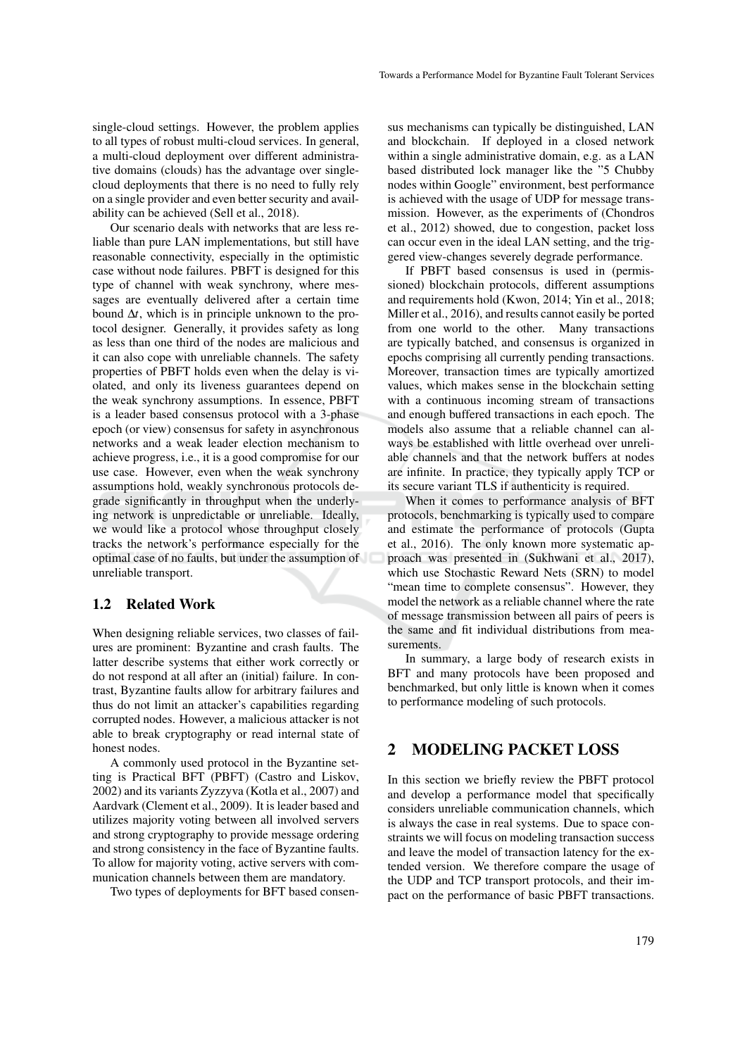single-cloud settings. However, the problem applies to all types of robust multi-cloud services. In general, a multi-cloud deployment over different administrative domains (clouds) has the advantage over singlecloud deployments that there is no need to fully rely on a single provider and even better security and availability can be achieved (Sell et al., 2018).

Our scenario deals with networks that are less reliable than pure LAN implementations, but still have reasonable connectivity, especially in the optimistic case without node failures. PBFT is designed for this type of channel with weak synchrony, where messages are eventually delivered after a certain time bound ∆*t*, which is in principle unknown to the protocol designer. Generally, it provides safety as long as less than one third of the nodes are malicious and it can also cope with unreliable channels. The safety properties of PBFT holds even when the delay is violated, and only its liveness guarantees depend on the weak synchrony assumptions. In essence, PBFT is a leader based consensus protocol with a 3-phase epoch (or view) consensus for safety in asynchronous networks and a weak leader election mechanism to achieve progress, i.e., it is a good compromise for our use case. However, even when the weak synchrony assumptions hold, weakly synchronous protocols degrade significantly in throughput when the underlying network is unpredictable or unreliable. Ideally, we would like a protocol whose throughput closely tracks the network's performance especially for the optimal case of no faults, but under the assumption of unreliable transport.

#### 1.2 Related Work

When designing reliable services, two classes of failures are prominent: Byzantine and crash faults. The latter describe systems that either work correctly or do not respond at all after an (initial) failure. In contrast, Byzantine faults allow for arbitrary failures and thus do not limit an attacker's capabilities regarding corrupted nodes. However, a malicious attacker is not able to break cryptography or read internal state of honest nodes.

A commonly used protocol in the Byzantine setting is Practical BFT (PBFT) (Castro and Liskov, 2002) and its variants Zyzzyva (Kotla et al., 2007) and Aardvark (Clement et al., 2009). It is leader based and utilizes majority voting between all involved servers and strong cryptography to provide message ordering and strong consistency in the face of Byzantine faults. To allow for majority voting, active servers with communication channels between them are mandatory.

Two types of deployments for BFT based consen-

sus mechanisms can typically be distinguished, LAN and blockchain. If deployed in a closed network within a single administrative domain, e.g. as a LAN based distributed lock manager like the "5 Chubby nodes within Google" environment, best performance is achieved with the usage of UDP for message transmission. However, as the experiments of (Chondros et al., 2012) showed, due to congestion, packet loss can occur even in the ideal LAN setting, and the triggered view-changes severely degrade performance.

If PBFT based consensus is used in (permissioned) blockchain protocols, different assumptions and requirements hold (Kwon, 2014; Yin et al., 2018; Miller et al., 2016), and results cannot easily be ported from one world to the other. Many transactions are typically batched, and consensus is organized in epochs comprising all currently pending transactions. Moreover, transaction times are typically amortized values, which makes sense in the blockchain setting with a continuous incoming stream of transactions and enough buffered transactions in each epoch. The models also assume that a reliable channel can always be established with little overhead over unreliable channels and that the network buffers at nodes are infinite. In practice, they typically apply TCP or its secure variant TLS if authenticity is required.

When it comes to performance analysis of BFT protocols, benchmarking is typically used to compare and estimate the performance of protocols (Gupta et al., 2016). The only known more systematic approach was presented in (Sukhwani et al., 2017), which use Stochastic Reward Nets (SRN) to model "mean time to complete consensus". However, they model the network as a reliable channel where the rate of message transmission between all pairs of peers is the same and fit individual distributions from measurements.

In summary, a large body of research exists in BFT and many protocols have been proposed and benchmarked, but only little is known when it comes to performance modeling of such protocols.

#### 2 MODELING PACKET LOSS

In this section we briefly review the PBFT protocol and develop a performance model that specifically considers unreliable communication channels, which is always the case in real systems. Due to space constraints we will focus on modeling transaction success and leave the model of transaction latency for the extended version. We therefore compare the usage of the UDP and TCP transport protocols, and their impact on the performance of basic PBFT transactions.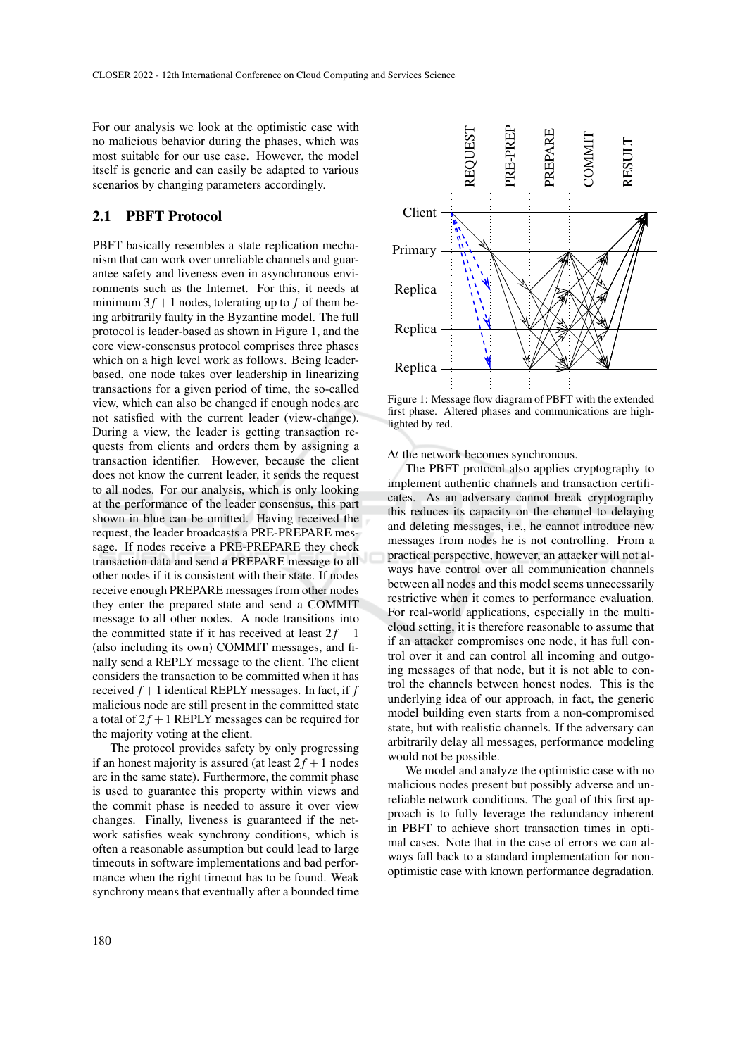For our analysis we look at the optimistic case with no malicious behavior during the phases, which was most suitable for our use case. However, the model itself is generic and can easily be adapted to various scenarios by changing parameters accordingly.

### 2.1 PBFT Protocol

PBFT basically resembles a state replication mechanism that can work over unreliable channels and guarantee safety and liveness even in asynchronous environments such as the Internet. For this, it needs at minimum  $3f + 1$  nodes, tolerating up to f of them being arbitrarily faulty in the Byzantine model. The full protocol is leader-based as shown in Figure 1, and the core view-consensus protocol comprises three phases which on a high level work as follows. Being leaderbased, one node takes over leadership in linearizing transactions for a given period of time, the so-called view, which can also be changed if enough nodes are not satisfied with the current leader (view-change). During a view, the leader is getting transaction requests from clients and orders them by assigning a transaction identifier. However, because the client does not know the current leader, it sends the request to all nodes. For our analysis, which is only looking at the performance of the leader consensus, this part shown in blue can be omitted. Having received the request, the leader broadcasts a PRE-PREPARE message. If nodes receive a PRE-PREPARE they check transaction data and send a PREPARE message to all other nodes if it is consistent with their state. If nodes receive enough PREPARE messages from other nodes they enter the prepared state and send a COMMIT message to all other nodes. A node transitions into the committed state if it has received at least  $2f + 1$ (also including its own) COMMIT messages, and finally send a REPLY message to the client. The client considers the transaction to be committed when it has received *f* +1 identical REPLY messages. In fact, if *f* malicious node are still present in the committed state a total of  $2f + 1$  REPLY messages can be required for the majority voting at the client. 2.1 **PBFT Protocol** Client<br>
PBFT basically resembles a state replication mecha-<br>
minimidation word correuncies and the means the computed include that eventually after a bounded time<br>
minimum 3 $f + 1$  nodes, toerating up t

The protocol provides safety by only progressing if an honest majority is assured (at least  $2f + 1$  nodes are in the same state). Furthermore, the commit phase is used to guarantee this property within views and the commit phase is needed to assure it over view changes. Finally, liveness is guaranteed if the network satisfies weak synchrony conditions, which is often a reasonable assumption but could lead to large timeouts in software implementations and bad performance when the right timeout has to be found. Weak



Figure 1: Message flow diagram of PBFT with the extended first phase. Altered phases and communications are highlighted by red.

∆*t* the network becomes synchronous.

The PBFT protocol also applies cryptography to implement authentic channels and transaction certificates. As an adversary cannot break cryptography this reduces its capacity on the channel to delaying and deleting messages, i.e., he cannot introduce new messages from nodes he is not controlling. From a practical perspective, however, an attacker will not always have control over all communication channels between all nodes and this model seems unnecessarily restrictive when it comes to performance evaluation. For real-world applications, especially in the multicloud setting, it is therefore reasonable to assume that if an attacker compromises one node, it has full control over it and can control all incoming and outgoing messages of that node, but it is not able to control the channels between honest nodes. This is the underlying idea of our approach, in fact, the generic model building even starts from a non-compromised state, but with realistic channels. If the adversary can arbitrarily delay all messages, performance modeling would not be possible.

We model and analyze the optimistic case with no malicious nodes present but possibly adverse and unreliable network conditions. The goal of this first approach is to fully leverage the redundancy inherent in PBFT to achieve short transaction times in optimal cases. Note that in the case of errors we can always fall back to a standard implementation for nonoptimistic case with known performance degradation.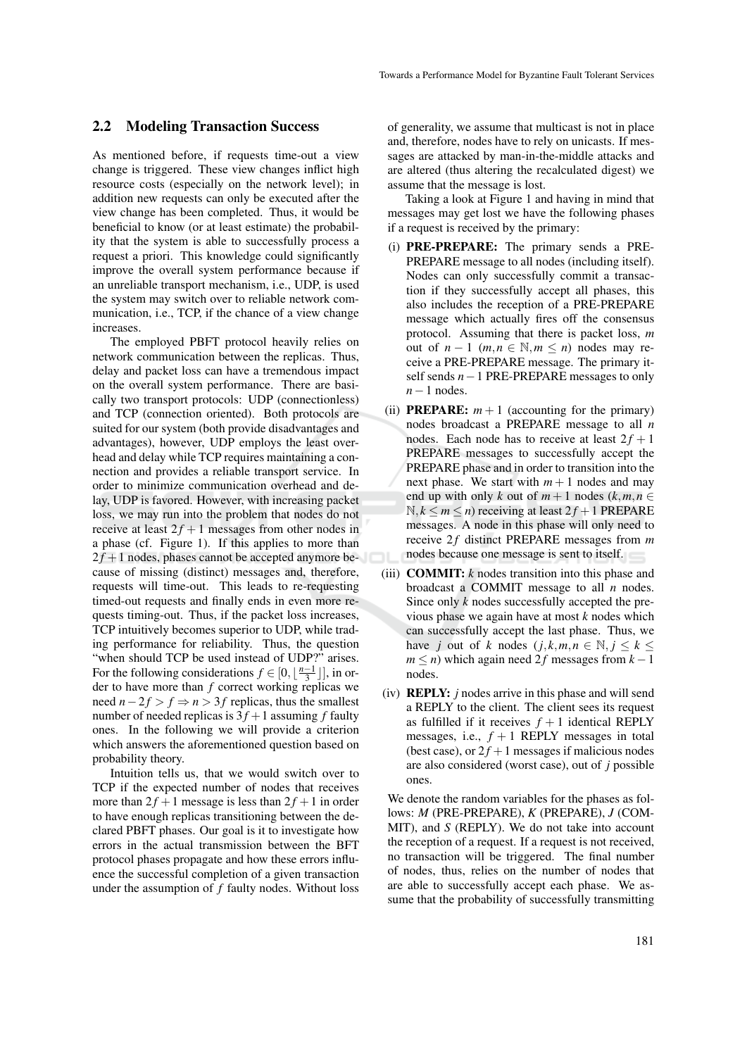#### 2.2 Modeling Transaction Success

As mentioned before, if requests time-out a view change is triggered. These view changes inflict high resource costs (especially on the network level); in addition new requests can only be executed after the view change has been completed. Thus, it would be beneficial to know (or at least estimate) the probability that the system is able to successfully process a request a priori. This knowledge could significantly improve the overall system performance because if an unreliable transport mechanism, i.e., UDP, is used the system may switch over to reliable network communication, i.e., TCP, if the chance of a view change increases.

The employed PBFT protocol heavily relies on network communication between the replicas. Thus, delay and packet loss can have a tremendous impact on the overall system performance. There are basically two transport protocols: UDP (connectionless) and TCP (connection oriented). Both protocols are suited for our system (both provide disadvantages and advantages), however, UDP employs the least overhead and delay while TCP requires maintaining a connection and provides a reliable transport service. In order to minimize communication overhead and delay, UDP is favored. However, with increasing packet loss, we may run into the problem that nodes do not receive at least  $2f + 1$  messages from other nodes in a phase (cf. Figure 1). If this applies to more than  $2f + 1$  nodes, phases cannot be accepted anymore because of missing (distinct) messages and, therefore, requests will time-out. This leads to re-requesting timed-out requests and finally ends in even more requests timing-out. Thus, if the packet loss increases, TCP intuitively becomes superior to UDP, while trading performance for reliability. Thus, the question "when should TCP be used instead of UDP?" arises. For the following considerations  $f \in [0, \lfloor \frac{n-1}{3} \rfloor]$ , in order to have more than *f* correct working replicas we need  $n-2f$  >  $f$  ⇒  $n$  > 3 $f$  replicas, thus the smallest number of needed replicas is  $3f + 1$  assuming f faulty ones. In the following we will provide a criterion which answers the aforementioned question based on probability theory.

Intuition tells us, that we would switch over to TCP if the expected number of nodes that receives more than  $2f + 1$  message is less than  $2f + 1$  in order to have enough replicas transitioning between the declared PBFT phases. Our goal is it to investigate how errors in the actual transmission between the BFT protocol phases propagate and how these errors influence the successful completion of a given transaction under the assumption of *f* faulty nodes. Without loss of generality, we assume that multicast is not in place and, therefore, nodes have to rely on unicasts. If messages are attacked by man-in-the-middle attacks and are altered (thus altering the recalculated digest) we assume that the message is lost.

Taking a look at Figure 1 and having in mind that messages may get lost we have the following phases if a request is received by the primary:

- (i) PRE-PREPARE: The primary sends a PRE-PREPARE message to all nodes (including itself). Nodes can only successfully commit a transaction if they successfully accept all phases, this also includes the reception of a PRE-PREPARE message which actually fires off the consensus protocol. Assuming that there is packet loss, *m* out of  $n-1$  ( $m, n \in \mathbb{N}, m \leq n$ ) nodes may receive a PRE-PREPARE message. The primary itself sends *n*−1 PRE-PREPARE messages to only *n*−1 nodes.
- (ii) **PREPARE:**  $m + 1$  (accounting for the primary) nodes broadcast a PREPARE message to all *n* nodes. Each node has to receive at least  $2f + 1$ PREPARE messages to successfully accept the PREPARE phase and in order to transition into the next phase. We start with  $m + 1$  nodes and may end up with only *k* out of  $m + 1$  nodes  $(k, m, n \in$  $N, k \leq m \leq n$ ) receiving at least  $2f + 1$  PREPARE messages. A node in this phase will only need to receive 2f distinct PREPARE messages from  $m$ nodes because one message is sent to itself.
- (iii) COMMIT: *k* nodes transition into this phase and broadcast a COMMIT message to all *n* nodes. Since only *k* nodes successfully accepted the previous phase we again have at most *k* nodes which can successfully accept the last phase. Thus, we have *j* out of *k* nodes  $(j, k, m, n \in \mathbb{N}, j \leq k \leq k)$  $m \leq n$ ) which again need 2f messages from  $k - 1$ nodes.
- (iv) REPLY: *j* nodes arrive in this phase and will send a REPLY to the client. The client sees its request as fulfilled if it receives  $f + 1$  identical REPLY messages, i.e.,  $f + 1$  REPLY messages in total (best case), or  $2f + 1$  messages if malicious nodes are also considered (worst case), out of *j* possible ones.

We denote the random variables for the phases as follows: *M* (PRE-PREPARE), *K* (PREPARE), *J* (COM-MIT), and *S* (REPLY). We do not take into account the reception of a request. If a request is not received, no transaction will be triggered. The final number of nodes, thus, relies on the number of nodes that are able to successfully accept each phase. We assume that the probability of successfully transmitting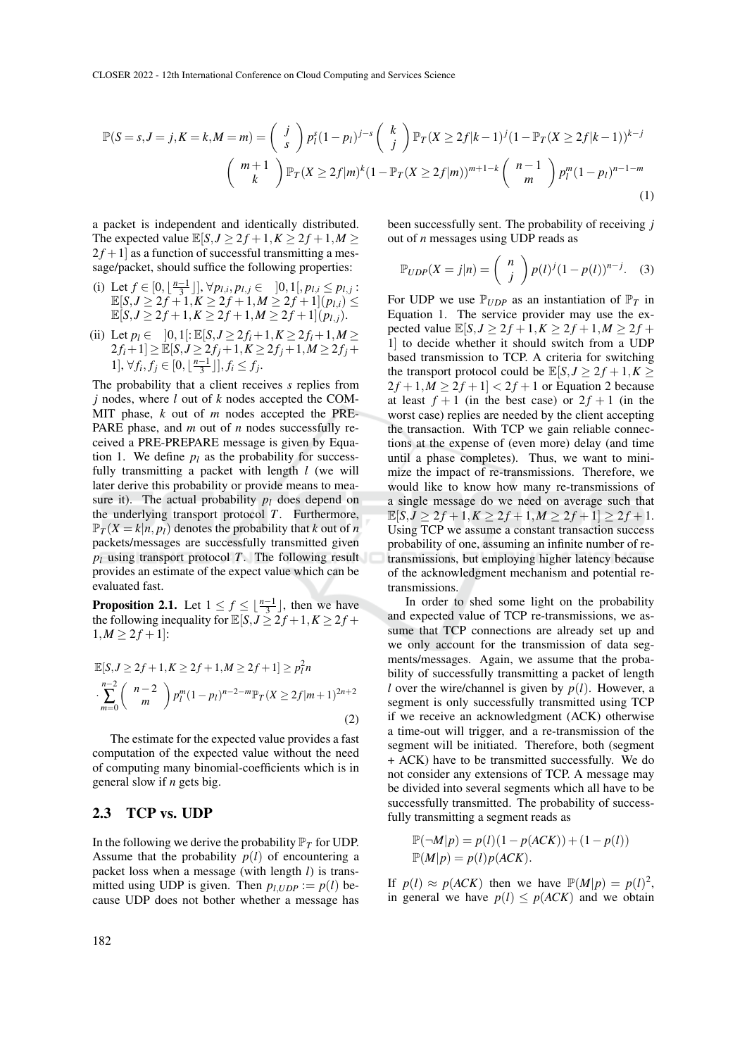$$
\mathbb{P}(S=s, J=j, K=k, M=m) = {j \choose s} p_1^s (1-p_1)^{j-s} {k \choose j} \mathbb{P}_T(X \ge 2f|k-1)^j (1-\mathbb{P}_T(X \ge 2f|k-1))^{k-j}
$$
  

$$
{m+1 \choose k} \mathbb{P}_T(X \ge 2f|m)^k (1-\mathbb{P}_T(X \ge 2f|m))^{m+1-k} {n-1 \choose m} p_1^m (1-p_1)^{n-1-m}
$$
  
(1)

a packet is independent and identically distributed. The expected value  $\mathbb{E}[S, J \geq 2f + 1, K \geq 2f + 1, M \geq$  $2f+1$  as a function of successful transmitting a message/packet, should suffice the following properties:

- (i) Let  $f \in [0, \lfloor \frac{n-1}{3} \rfloor], \forall p_{l,i}, p_{l,j} \in [0,1[, p_{l,i} \leq p_{l,j}$ :  $\mathbb{E}[S, J \geq 2f + 1, K \geq 2f + 1, M \geq 2f + 1](p_{l,i}) \leq$  $\mathbb{E}[S, J \geq 2f + 1, K \geq 2f + 1, M \geq 2f + 1](p_{l,j}).$
- (ii) Let  $p_l \in [0,1]: \mathbb{E}[S, J \geq 2f_i + 1, K \geq 2f_i + 1, M \geq$  $2f_i+1] \geq \mathbb{E}[S, J \geq 2f_j+1, K \geq 2f_j+1, M \geq 2f_j+1$ 1], ∀ $f_i, f_j \in [0, \lfloor \frac{n-1}{3} \rfloor], f_i \leq f_j$ .

The probability that a client receives *s* replies from *j* nodes, where *l* out of *k* nodes accepted the COM-MIT phase, *k* out of *m* nodes accepted the PRE-PARE phase, and *m* out of *n* nodes successfully received a PRE-PREPARE message is given by Equation 1. We define  $p_l$  as the probability for successfully transmitting a packet with length *l* (we will later derive this probability or provide means to measure it). The actual probability  $p_l$  does depend on the underlying transport protocol *T*. Furthermore,  $\mathbb{P}_T(X = k | n, p)$  denotes the probability that *k* out of *n* packets/messages are successfully transmitted given  $p_l$  using transport protocol *T*. The following result provides an estimate of the expect value which can be evaluated fast.

**Proposition 2.1.** Let  $1 \le f \le \lfloor \frac{n-1}{3} \rfloor$ , then we have the following inequality for  $\mathbb{E}[S, J \geq 2f + 1, K \geq 2f + 1]$  $1, M \geq 2f + 1$ :

$$
\mathbb{E}[S, J \ge 2f + 1, K \ge 2f + 1, M \ge 2f + 1] \ge p_1^2 n
$$
  

$$
\sum_{m=0}^{n-2} {n-2 \choose m} p_1^m (1-p_1)^{n-2-m} \mathbb{P}_T(X \ge 2f|m+1)^{2n+2}
$$
  
(2)

The estimate for the expected value provides a fast computation of the expected value without the need of computing many binomial-coefficients which is in general slow if *n* gets big.

#### 2.3 TCP vs. UDP

In the following we derive the probability  $\mathbb{P}_T$  for UDP. Assume that the probability  $p(l)$  of encountering a packet loss when a message (with length *l*) is transmitted using UDP is given. Then  $p_l$ ,  $p_l$  :=  $p(l)$  because UDP does not bother whether a message has

been successfully sent. The probability of receiving *j* out of *n* messages using UDP reads as

$$
\mathbb{P}_{UDP}(X=j|n) = {n \choose j} p(l)^{j} (1-p(l))^{n-j}.
$$
 (3)

For UDP we use  $\mathbb{P}_{UDP}$  as an instantiation of  $\mathbb{P}_T$  in Equation 1. The service provider may use the expected value  $\mathbb{E}[S, J \ge 2f + 1, K \ge 2f + 1, M \ge 2f +$ 1] to decide whether it should switch from a UDP based transmission to TCP. A criteria for switching the transport protocol could be  $\mathbb{E}[S, J \geq 2f + 1, K \geq 1]$  $2f + 1, M \ge 2f + 1 < 2f + 1$  or Equation 2 because at least  $f + 1$  (in the best case) or  $2f + 1$  (in the worst case) replies are needed by the client accepting the transaction. With TCP we gain reliable connections at the expense of (even more) delay (and time until a phase completes). Thus, we want to minimize the impact of re-transmissions. Therefore, we would like to know how many re-transmissions of a single message do we need on average such that  $\mathbb{E}[S, J \ge 2f + 1, K \ge 2f + 1, M \ge 2f + 1] \ge 2f + 1.$ Using TCP we assume a constant transaction success probability of one, assuming an infinite number of retransmissions, but employing higher latency because of the acknowledgment mechanism and potential retransmissions.

In order to shed some light on the probability and expected value of TCP re-transmissions, we assume that TCP connections are already set up and we only account for the transmission of data segments/messages. Again, we assume that the probability of successfully transmitting a packet of length *l* over the wire/channel is given by  $p(l)$ . However, a segment is only successfully transmitted using TCP if we receive an acknowledgment (ACK) otherwise a time-out will trigger, and a re-transmission of the segment will be initiated. Therefore, both (segment + ACK) have to be transmitted successfully. We do not consider any extensions of TCP. A message may be divided into several segments which all have to be successfully transmitted. The probability of successfully transmitting a segment reads as

$$
\mathbb{P}(\neg M|p) = p(l)(1 - p(ACK)) + (1 - p(l))
$$
  

$$
\mathbb{P}(M|p) = p(l)p(ACK).
$$

If  $p(l) \approx p(ACK)$  then we have  $\mathbb{P}(M|p) = p(l)^2$ , in general we have  $p(l) \leq p(ACK)$  and we obtain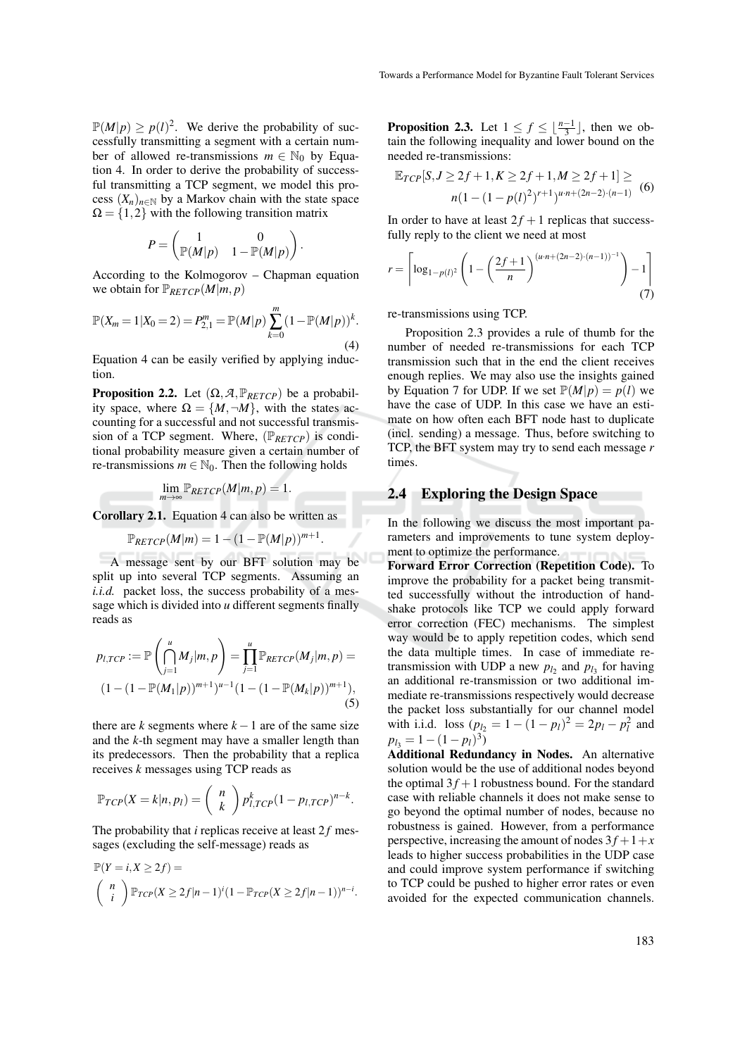$\mathbb{P}(M|p) \ge p(l)^2$ . We derive the probability of successfully transmitting a segment with a certain number of allowed re-transmissions  $m \in \mathbb{N}_0$  by Equation 4. In order to derive the probability of successful transmitting a TCP segment, we model this process  $(X_n)_{n \in \mathbb{N}}$  by a Markov chain with the state space  $\Omega = \{1, 2\}$  with the following transition matrix

$$
P = \begin{pmatrix} 1 & 0 \\ \mathbb{P}(M|p) & 1 - \mathbb{P}(M|p) \end{pmatrix}.
$$

According to the Kolmogorov – Chapman equation we obtain for  $\mathbb{P}_{RETCP}(M|m, p)$ 

$$
\mathbb{P}(X_m = 1 | X_0 = 2) = P_{2,1}^m = \mathbb{P}(M | p) \sum_{k=0}^m (1 - \mathbb{P}(M | p))^k.
$$
\n(4)

Equation 4 can be easily verified by applying induction.

**Proposition 2.2.** Let  $(\Omega, \mathcal{A}, \mathbb{P}_{RETCP})$  be a probability space, where  $\Omega = \{M, \neg M\}$ , with the states accounting for a successful and not successful transmission of a TCP segment. Where,  $(\mathbb{P}_{RETCP})$  is conditional probability measure given a certain number of re-transmissions  $m \in \mathbb{N}_0$ . Then the following holds

$$
\lim_{m\to\infty}\mathbb{P}_{RETCP}(M|m,p)=1.
$$

Corollary 2.1. Equation 4 can also be written as

$$
\mathbb{P}_{RETCP}(M|m) = 1 - (1 - \mathbb{P}(M|p))^{m+1}.
$$

A message sent by our BFT solution may be split up into several TCP segments. Assuming an *i.i.d.* packet loss, the success probability of a message which is divided into *u* different segments finally reads as

$$
p_{l,TCP} := \mathbb{P}\left(\bigcap_{j=1}^{u} M_j | m, p\right) = \prod_{j=1}^{u} \mathbb{P}_{RETCP}(M_j | m, p) =
$$
  

$$
(1 - (1 - \mathbb{P}(M_1 | p))^{m+1})^{u-1} (1 - (1 - \mathbb{P}(M_k | p))^{m+1}),
$$
  
(5)

there are  $k$  segments where  $k - 1$  are of the same size and the *k*-th segment may have a smaller length than its predecessors. Then the probability that a replica receives *k* messages using TCP reads as

$$
\mathbb{P}_{TCP}(X = k|n, p_l) = {n \choose k} p_{l,TCP}^k (1 - p_{l,TCP})^{n-k}.
$$

The probability that  $i$  replicas receive at least  $2f$  messages (excluding the self-message) reads as

$$
\mathbb{P}(Y=i, X \ge 2f) =
$$
\n
$$
\binom{n}{i} \mathbb{P}_{TCP}(X \ge 2f|n-1)^{i}(1-\mathbb{P}_{TCP}(X \ge 2f|n-1))^{n-i}.
$$

**Proposition 2.3.** Let  $1 \leq f \leq \lfloor \frac{n-1}{3} \rfloor$ , then we obtain the following inequality and lower bound on the needed re-transmissions:

$$
\mathbb{E}_{TCP}[S, J \ge 2f + 1, K \ge 2f + 1, M \ge 2f + 1] \ge n(1 - (1 - p(l)^2)^{r+1})^{u \cdot n + (2n - 2) \cdot (n - 1)} \tag{6}
$$

In order to have at least  $2f + 1$  replicas that successfully reply to the client we need at most

$$
r = \left\lceil \log_{1-p(l)^2} \left( 1 - \left( \frac{2f+1}{n} \right)^{(u \cdot n + (2n-2) \cdot (n-1))^{-1}} \right) - 1 \right\rceil \tag{7}
$$

re-transmissions using TCP.

Proposition 2.3 provides a rule of thumb for the number of needed re-transmissions for each TCP transmission such that in the end the client receives enough replies. We may also use the insights gained by Equation 7 for UDP. If we set  $\mathbb{P}(M|p) = p(l)$  we have the case of UDP. In this case we have an estimate on how often each BFT node hast to duplicate (incl. sending) a message. Thus, before switching to TCP, the BFT system may try to send each message *r* times.

#### 2.4 Exploring the Design Space

In the following we discuss the most important parameters and improvements to tune system deployment to optimize the performance.

Forward Error Correction (Repetition Code). To improve the probability for a packet being transmitted successfully without the introduction of handshake protocols like TCP we could apply forward error correction (FEC) mechanisms. The simplest way would be to apply repetition codes, which send the data multiple times. In case of immediate retransmission with UDP a new  $p_{l_2}$  and  $p_{l_3}$  for having an additional re-transmission or two additional immediate re-transmissions respectively would decrease the packet loss substantially for our channel model with i.i.d. loss  $(p_{l_2} = 1 - (1 - p_l)^2 = 2p_l - p_l^2$  and  $p_{l_3} = 1 - (1 - p_l)^3$ 

Additional Redundancy in Nodes. An alternative solution would be the use of additional nodes beyond the optimal  $3f + 1$  robustness bound. For the standard case with reliable channels it does not make sense to go beyond the optimal number of nodes, because no robustness is gained. However, from a performance perspective, increasing the amount of nodes  $3f+1+x$ leads to higher success probabilities in the UDP case and could improve system performance if switching to TCP could be pushed to higher error rates or even avoided for the expected communication channels.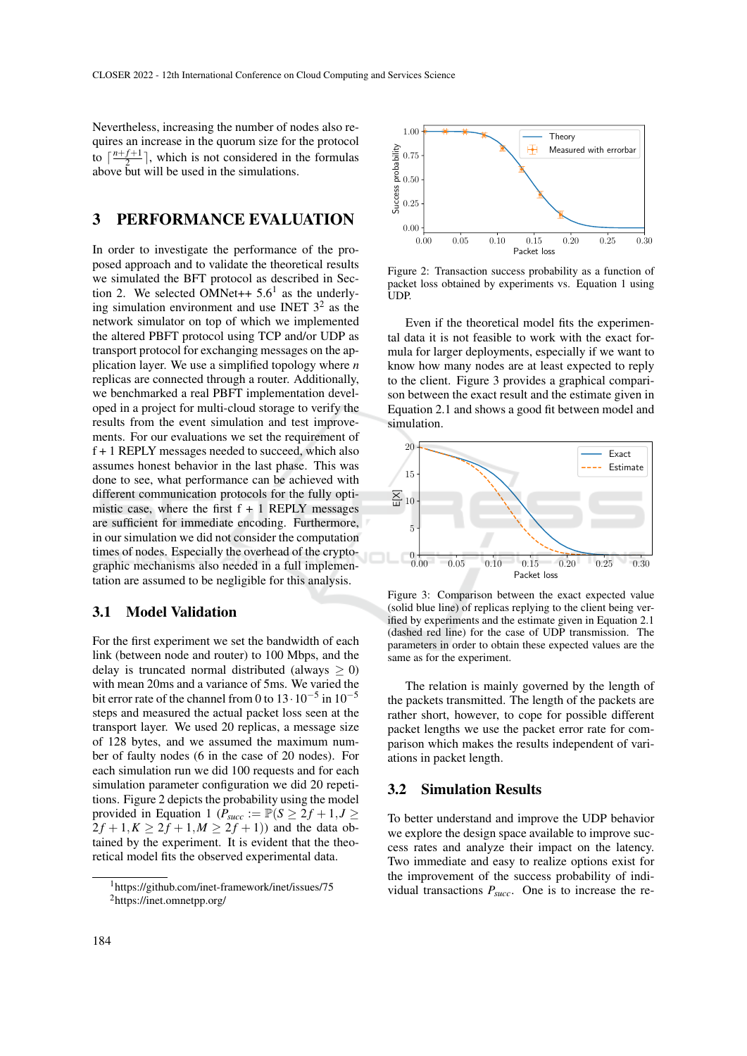Nevertheless, increasing the number of nodes also requires an increase in the quorum size for the protocol to  $\lceil \frac{n+f+1}{2} \rceil$  $\left[\frac{J+1}{2}\right]$ , which is not considered in the formulas above but will be used in the simulations.

## 3 PERFORMANCE EVALUATION

In order to investigate the performance of the proposed approach and to validate the theoretical results we simulated the BFT protocol as described in Section 2. We selected OMNet $++ 5.6<sup>1</sup>$  as the underlying simulation environment and use INET  $3^2$  as the network simulator on top of which we implemented the altered PBFT protocol using TCP and/or UDP as transport protocol for exchanging messages on the application layer. We use a simplified topology where *n* replicas are connected through a router. Additionally, we benchmarked a real PBFT implementation developed in a project for multi-cloud storage to verify the results from the event simulation and test improvements. For our evaluations we set the requirement of f + 1 REPLY messages needed to succeed, which also assumes honest behavior in the last phase. This was done to see, what performance can be achieved with different communication protocols for the fully optimistic case, where the first  $f + 1$  REPLY messages are sufficient for immediate encoding. Furthermore, in our simulation we did not consider the computation times of nodes. Especially the overhead of the cryptographic mechanisms also needed in a full implementation are assumed to be negligible for this analysis.

#### 3.1 Model Validation

For the first experiment we set the bandwidth of each link (between node and router) to 100 Mbps, and the delay is truncated normal distributed (always  $\geq$  0) with mean 20ms and a variance of 5ms. We varied the bit error rate of the channel from 0 to  $13 \cdot 10^{-5}$  in  $10^{-5}$ steps and measured the actual packet loss seen at the transport layer. We used 20 replicas, a message size of 128 bytes, and we assumed the maximum number of faulty nodes (6 in the case of 20 nodes). For each simulation run we did 100 requests and for each simulation parameter configuration we did 20 repetitions. Figure 2 depicts the probability using the model provided in Equation 1 ( $P_{succ} := \mathbb{P}(S \geq 2f + 1, J \geq 1)$  $2f + 1, K \ge 2f + 1, M \ge 2f + 1$ ) and the data obtained by the experiment. It is evident that the theoretical model fits the observed experimental data.



Figure 2: Transaction success probability as a function of packet loss obtained by experiments vs. Equation 1 using UDP.

Even if the theoretical model fits the experimental data it is not feasible to work with the exact formula for larger deployments, especially if we want to know how many nodes are at least expected to reply to the client. Figure 3 provides a graphical comparison between the exact result and the estimate given in Equation 2.1 and shows a good fit between model and simulation.



Figure 3: Comparison between the exact expected value (solid blue line) of replicas replying to the client being verified by experiments and the estimate given in Equation 2.1 (dashed red line) for the case of UDP transmission. The parameters in order to obtain these expected values are the same as for the experiment.

The relation is mainly governed by the length of the packets transmitted. The length of the packets are rather short, however, to cope for possible different packet lengths we use the packet error rate for comparison which makes the results independent of variations in packet length.

#### 3.2 Simulation Results

To better understand and improve the UDP behavior we explore the design space available to improve success rates and analyze their impact on the latency. Two immediate and easy to realize options exist for the improvement of the success probability of individual transactions  $P_{succ}$ . One is to increase the re-

<sup>1</sup>https://github.com/inet-framework/inet/issues/75 <sup>2</sup>https://inet.omnetpp.org/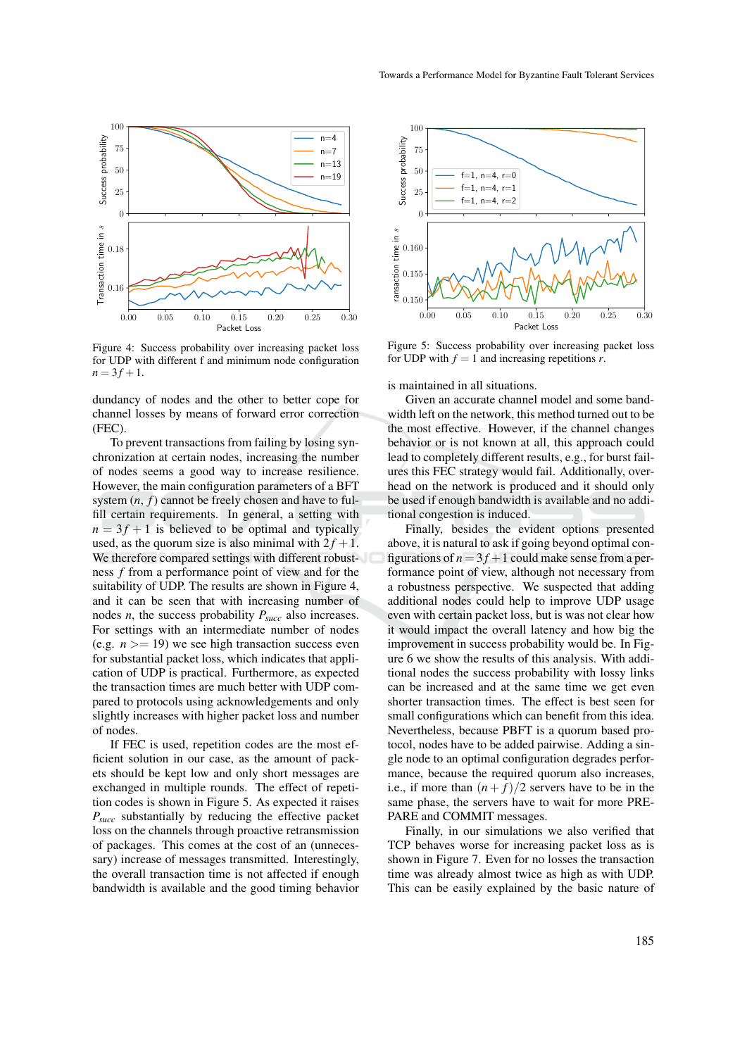

Figure 4: Success probability over increasing packet loss for UDP with different f and minimum node configuration  $n = 3f + 1$ .

dundancy of nodes and the other to better cope for channel losses by means of forward error correction (FEC).

To prevent transactions from failing by losing synchronization at certain nodes, increasing the number of nodes seems a good way to increase resilience. However, the main configuration parameters of a BFT system  $(n, f)$  cannot be freely chosen and have to fulfill certain requirements. In general, a setting with  $n = 3f + 1$  is believed to be optimal and typically used, as the quorum size is also minimal with  $2f + 1$ . We therefore compared settings with different robustness *f* from a performance point of view and for the suitability of UDP. The results are shown in Figure 4, and it can be seen that with increasing number of nodes *n*, the success probability *Psucc* also increases. For settings with an intermediate number of nodes (e.g.  $n \geq 19$ ) we see high transaction success even for substantial packet loss, which indicates that application of UDP is practical. Furthermore, as expected the transaction times are much better with UDP compared to protocols using acknowledgements and only slightly increases with higher packet loss and number of nodes.

If FEC is used, repetition codes are the most efficient solution in our case, as the amount of packets should be kept low and only short messages are exchanged in multiple rounds. The effect of repetition codes is shown in Figure 5. As expected it raises *Psucc* substantially by reducing the effective packet loss on the channels through proactive retransmission of packages. This comes at the cost of an (unnecessary) increase of messages transmitted. Interestingly, the overall transaction time is not affected if enough bandwidth is available and the good timing behavior



Figure 5: Success probability over increasing packet loss for UDP with  $f = 1$  and increasing repetitions *r*.

is maintained in all situations.

Given an accurate channel model and some bandwidth left on the network, this method turned out to be the most effective. However, if the channel changes behavior or is not known at all, this approach could lead to completely different results, e.g., for burst failures this FEC strategy would fail. Additionally, overhead on the network is produced and it should only be used if enough bandwidth is available and no additional congestion is induced.

Finally, besides the evident options presented above, it is natural to ask if going beyond optimal configurations of  $n = 3f + 1$  could make sense from a performance point of view, although not necessary from a robustness perspective. We suspected that adding additional nodes could help to improve UDP usage even with certain packet loss, but is was not clear how it would impact the overall latency and how big the improvement in success probability would be. In Figure 6 we show the results of this analysis. With additional nodes the success probability with lossy links can be increased and at the same time we get even shorter transaction times. The effect is best seen for small configurations which can benefit from this idea. Nevertheless, because PBFT is a quorum based protocol, nodes have to be added pairwise. Adding a single node to an optimal configuration degrades performance, because the required quorum also increases, i.e., if more than  $(n + f)/2$  servers have to be in the same phase, the servers have to wait for more PRE-PARE and COMMIT messages.

Finally, in our simulations we also verified that TCP behaves worse for increasing packet loss as is shown in Figure 7. Even for no losses the transaction time was already almost twice as high as with UDP. This can be easily explained by the basic nature of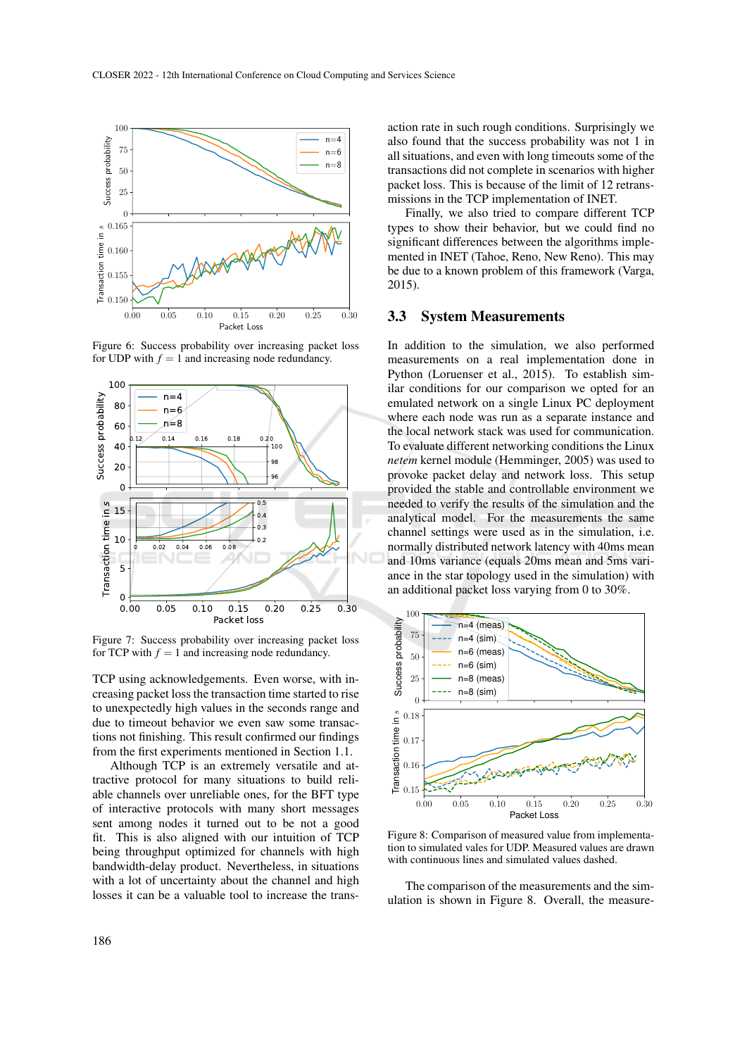

Figure 6: Success probability over increasing packet loss for UDP with  $f = 1$  and increasing node redundancy.



Figure 7: Success probability over increasing packet loss for TCP with  $f = 1$  and increasing node redundancy.

TCP using acknowledgements. Even worse, with increasing packet loss the transaction time started to rise to unexpectedly high values in the seconds range and due to timeout behavior we even saw some transactions not finishing. This result confirmed our findings from the first experiments mentioned in Section 1.1.

Although TCP is an extremely versatile and attractive protocol for many situations to build reliable channels over unreliable ones, for the BFT type of interactive protocols with many short messages sent among nodes it turned out to be not a good fit. This is also aligned with our intuition of TCP being throughput optimized for channels with high bandwidth-delay product. Nevertheless, in situations with a lot of uncertainty about the channel and high losses it can be a valuable tool to increase the transaction rate in such rough conditions. Surprisingly we also found that the success probability was not 1 in all situations, and even with long timeouts some of the transactions did not complete in scenarios with higher packet loss. This is because of the limit of 12 retransmissions in the TCP implementation of INET.

Finally, we also tried to compare different TCP types to show their behavior, but we could find no significant differences between the algorithms implemented in INET (Tahoe, Reno, New Reno). This may be due to a known problem of this framework (Varga, 2015).

#### 3.3 System Measurements

In addition to the simulation, we also performed measurements on a real implementation done in Python (Loruenser et al., 2015). To establish similar conditions for our comparison we opted for an emulated network on a single Linux PC deployment where each node was run as a separate instance and the local network stack was used for communication. To evaluate different networking conditions the Linux *netem* kernel module (Hemminger, 2005) was used to provoke packet delay and network loss. This setup provided the stable and controllable environment we needed to verify the results of the simulation and the analytical model. For the measurements the same channel settings were used as in the simulation, i.e. normally distributed network latency with 40ms mean and 10ms variance (equals 20ms mean and 5ms variance in the star topology used in the simulation) with an additional packet loss varying from 0 to 30%.



Figure 8: Comparison of measured value from implementation to simulated vales for UDP. Measured values are drawn with continuous lines and simulated values dashed.

The comparison of the measurements and the simulation is shown in Figure 8. Overall, the measure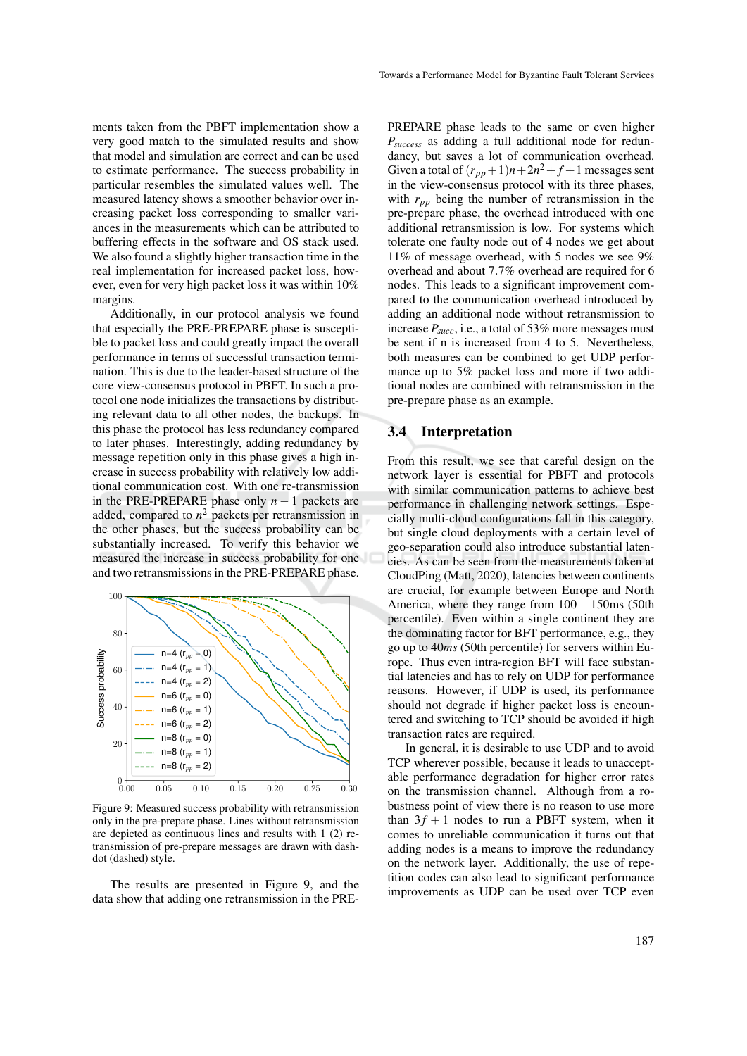ments taken from the PBFT implementation show a very good match to the simulated results and show that model and simulation are correct and can be used to estimate performance. The success probability in particular resembles the simulated values well. The measured latency shows a smoother behavior over increasing packet loss corresponding to smaller variances in the measurements which can be attributed to buffering effects in the software and OS stack used. We also found a slightly higher transaction time in the real implementation for increased packet loss, however, even for very high packet loss it was within 10% margins.

Additionally, in our protocol analysis we found that especially the PRE-PREPARE phase is susceptible to packet loss and could greatly impact the overall performance in terms of successful transaction termination. This is due to the leader-based structure of the core view-consensus protocol in PBFT. In such a protocol one node initializes the transactions by distributing relevant data to all other nodes, the backups. In this phase the protocol has less redundancy compared to later phases. Interestingly, adding redundancy by message repetition only in this phase gives a high increase in success probability with relatively low additional communication cost. With one re-transmission in the PRE-PREPARE phase only  $n - 1$  packets are added, compared to  $n^2$  packets per retransmission in the other phases, but the success probability can be substantially increased. To verify this behavior we measured the increase in success probability for one and two retransmissions in the PRE-PREPARE phase.



Figure 9: Measured success probability with retransmission only in the pre-prepare phase. Lines without retransmission are depicted as continuous lines and results with 1 (2) retransmission of pre-prepare messages are drawn with dashdot (dashed) style.

The results are presented in Figure 9, and the data show that adding one retransmission in the PRE-

PREPARE phase leads to the same or even higher *Psuccess* as adding a full additional node for redundancy, but saves a lot of communication overhead. Given a total of  $(r_{pp}+1)n+2n^2+f+1$  messages sent in the view-consensus protocol with its three phases, with  $r_{pp}$  being the number of retransmission in the pre-prepare phase, the overhead introduced with one additional retransmission is low. For systems which tolerate one faulty node out of 4 nodes we get about 11% of message overhead, with 5 nodes we see 9% overhead and about 7.7% overhead are required for 6 nodes. This leads to a significant improvement compared to the communication overhead introduced by adding an additional node without retransmission to increase *Psucc*, i.e., a total of 53% more messages must be sent if n is increased from 4 to 5. Nevertheless, both measures can be combined to get UDP performance up to 5% packet loss and more if two additional nodes are combined with retransmission in the pre-prepare phase as an example.

#### 3.4 Interpretation

From this result, we see that careful design on the network layer is essential for PBFT and protocols with similar communication patterns to achieve best performance in challenging network settings. Especially multi-cloud configurations fall in this category, but single cloud deployments with a certain level of geo-separation could also introduce substantial latencies. As can be seen from the measurements taken at CloudPing (Matt, 2020), latencies between continents are crucial, for example between Europe and North America, where they range from 100 − 150ms (50th percentile). Even within a single continent they are the dominating factor for BFT performance, e.g., they go up to 40*ms* (50th percentile) for servers within Europe. Thus even intra-region BFT will face substantial latencies and has to rely on UDP for performance reasons. However, if UDP is used, its performance should not degrade if higher packet loss is encountered and switching to TCP should be avoided if high transaction rates are required.

In general, it is desirable to use UDP and to avoid TCP wherever possible, because it leads to unacceptable performance degradation for higher error rates on the transmission channel. Although from a robustness point of view there is no reason to use more than  $3f + 1$  nodes to run a PBFT system, when it comes to unreliable communication it turns out that adding nodes is a means to improve the redundancy on the network layer. Additionally, the use of repetition codes can also lead to significant performance improvements as UDP can be used over TCP even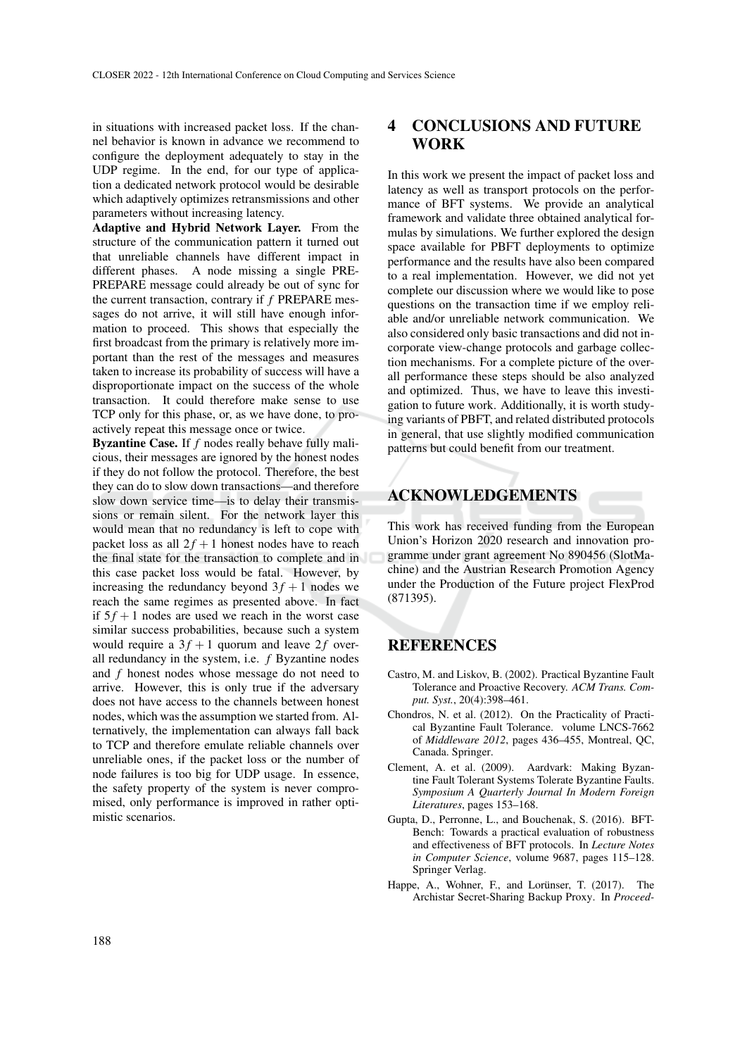in situations with increased packet loss. If the channel behavior is known in advance we recommend to configure the deployment adequately to stay in the UDP regime. In the end, for our type of application a dedicated network protocol would be desirable which adaptively optimizes retransmissions and other parameters without increasing latency.

Adaptive and Hybrid Network Layer. From the structure of the communication pattern it turned out that unreliable channels have different impact in different phases. A node missing a single PRE-PREPARE message could already be out of sync for the current transaction, contrary if *f* PREPARE messages do not arrive, it will still have enough information to proceed. This shows that especially the first broadcast from the primary is relatively more important than the rest of the messages and measures taken to increase its probability of success will have a disproportionate impact on the success of the whole transaction. It could therefore make sense to use TCP only for this phase, or, as we have done, to proactively repeat this message once or twice.

Byzantine Case. If *f* nodes really behave fully malicious, their messages are ignored by the honest nodes if they do not follow the protocol. Therefore, the best they can do to slow down transactions—and therefore slow down service time—is to delay their transmissions or remain silent. For the network layer this would mean that no redundancy is left to cope with packet loss as all  $2f + 1$  honest nodes have to reach the final state for the transaction to complete and in this case packet loss would be fatal. However, by increasing the redundancy beyond  $3f + 1$  nodes we reach the same regimes as presented above. In fact if  $5f + 1$  nodes are used we reach in the worst case similar success probabilities, because such a system would require a  $3f + 1$  quorum and leave 2f overall redundancy in the system, i.e. *f* Byzantine nodes and *f* honest nodes whose message do not need to arrive. However, this is only true if the adversary does not have access to the channels between honest nodes, which was the assumption we started from. Alternatively, the implementation can always fall back to TCP and therefore emulate reliable channels over unreliable ones, if the packet loss or the number of node failures is too big for UDP usage. In essence, the safety property of the system is never compromised, only performance is improved in rather optimistic scenarios.

## 4 CONCLUSIONS AND FUTURE WORK

In this work we present the impact of packet loss and latency as well as transport protocols on the performance of BFT systems. We provide an analytical framework and validate three obtained analytical formulas by simulations. We further explored the design space available for PBFT deployments to optimize performance and the results have also been compared to a real implementation. However, we did not yet complete our discussion where we would like to pose questions on the transaction time if we employ reliable and/or unreliable network communication. We also considered only basic transactions and did not incorporate view-change protocols and garbage collection mechanisms. For a complete picture of the overall performance these steps should be also analyzed and optimized. Thus, we have to leave this investigation to future work. Additionally, it is worth studying variants of PBFT, and related distributed protocols in general, that use slightly modified communication patterns but could benefit from our treatment.

# ACKNOWLEDGEMENTS

This work has received funding from the European Union's Horizon 2020 research and innovation programme under grant agreement No 890456 (SlotMachine) and the Austrian Research Promotion Agency under the Production of the Future project FlexProd (871395).

### **REFERENCES**

- Castro, M. and Liskov, B. (2002). Practical Byzantine Fault Tolerance and Proactive Recovery. *ACM Trans. Comput. Syst.*, 20(4):398–461.
- Chondros, N. et al. (2012). On the Practicality of Practical Byzantine Fault Tolerance. volume LNCS-7662 of *Middleware 2012*, pages 436–455, Montreal, QC, Canada. Springer.
- Clement, A. et al. (2009). Aardvark: Making Byzantine Fault Tolerant Systems Tolerate Byzantine Faults. *Symposium A Quarterly Journal In Modern Foreign Literatures*, pages 153–168.
- Gupta, D., Perronne, L., and Bouchenak, S. (2016). BFT-Bench: Towards a practical evaluation of robustness and effectiveness of BFT protocols. In *Lecture Notes in Computer Science*, volume 9687, pages 115–128. Springer Verlag.
- Happe, A., Wohner, F., and Lorünser, T. (2017). The Archistar Secret-Sharing Backup Proxy. In *Proceed-*